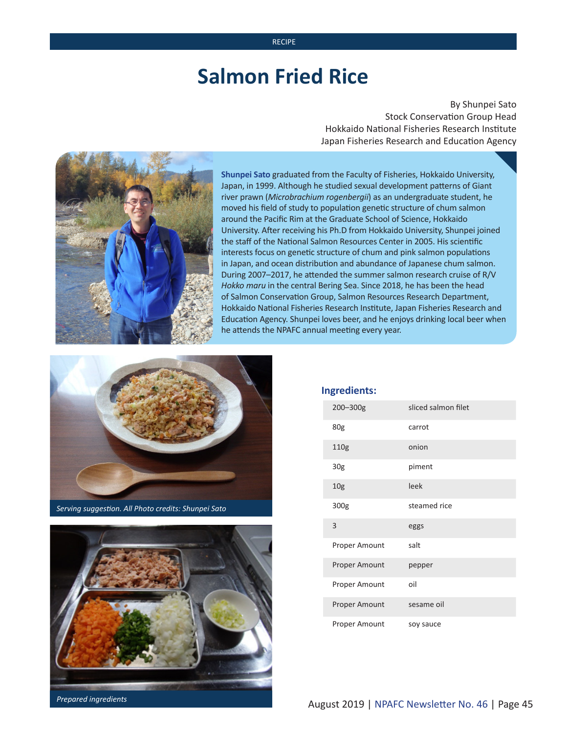## **Salmon Fried Rice**

By Shunpei Sato Stock Conservation Group Head Hokkaido National Fisheries Research Institute Japan Fisheries Research and Education Agency



**Shunpei Sato** graduated from the Faculty of Fisheries, Hokkaido University, Japan, in 1999. Although he studied sexual development patterns of Giant river prawn (*Microbrachium rogenbergii*) as an undergraduate student, he moved his field of study to population genetic structure of chum salmon around the Pacific Rim at the Graduate School of Science, Hokkaido University. After receiving his Ph.D from Hokkaido University, Shunpei joined the staff of the National Salmon Resources Center in 2005. His scientific interests focus on genetic structure of chum and pink salmon populations in Japan, and ocean distribution and abundance of Japanese chum salmon. During 2007–2017, he attended the summer salmon research cruise of R/V *Hokko maru* in the central Bering Sea. Since 2018, he has been the head of Salmon Conservation Group, Salmon Resources Research Department, Hokkaido National Fisheries Research Institute, Japan Fisheries Research and Education Agency. Shunpei loves beer, and he enjoys drinking local beer when he attends the NPAFC annual meeting every year.

**Ingredients:**



*Serving suggestion. All Photo credits: Shunpei Sato*



| 200-300g             | sliced salmon filet |
|----------------------|---------------------|
| 80g                  | carrot              |
| 110g                 | onion               |
| 30 <sub>g</sub>      | piment              |
| 10 <sub>g</sub>      | leek                |
| 300g                 | steamed rice        |
| 3                    | eggs                |
| Proper Amount        | salt                |
| <b>Proper Amount</b> | pepper              |
| Proper Amount        | oil                 |
| <b>Proper Amount</b> | sesame oil          |
| Proper Amount        | soy sauce           |

*Prepared ingredients*